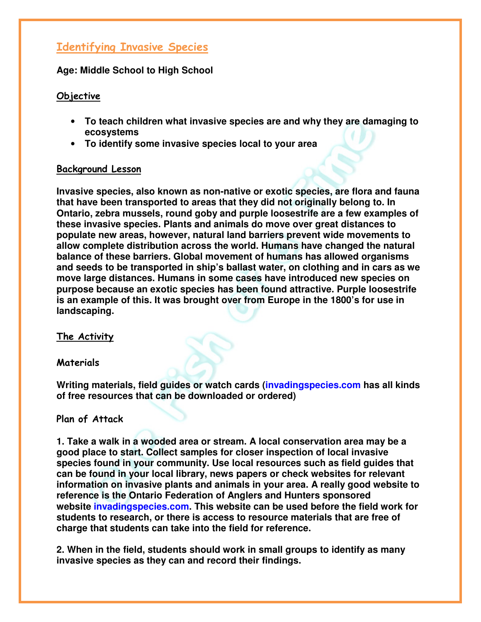# Identifying Invasive Species

**Age: Middle School to High School** 

# Objective

- **To teach children what invasive species are and why they are damaging to ecosystems**
- **To identify some invasive species local to your area**

### Background Lesson

**Invasive species, also known as non-native or exotic species, are flora and fauna that have been transported to areas that they did not originally belong to. In Ontario, zebra mussels, round goby and purple loosestrife are a few examples of these invasive species. Plants and animals do move over great distances to populate new areas, however, natural land barriers prevent wide movements to allow complete distribution across the world. Humans have changed the natural balance of these barriers. Global movement of humans has allowed organisms and seeds to be transported in ship's ballast water, on clothing and in cars as we move large distances. Humans in some cases have introduced new species on purpose because an exotic species has been found attractive. Purple loosestrife is an example of this. It was brought over from Europe in the 1800's for use in landscaping.**

## The Activity

#### **Materials**

**Writing materials, field guides or watch cards (invadingspecies.com has all kinds of free resources that can be downloaded or ordered)**

#### Plan of Attack

**1. Take a walk in a wooded area or stream. A local conservation area may be a good place to start. Collect samples for closer inspection of local invasive species found in your community. Use local resources such as field guides that can be found in your local library, news papers or check websites for relevant information on invasive plants and animals in your area. A really good website to reference is the Ontario Federation of Anglers and Hunters sponsored website invadingspecies.com. This website can be used before the field work for students to research, or there is access to resource materials that are free of charge that students can take into the field for reference.**

**2. When in the field, students should work in small groups to identify as many invasive species as they can and record their findings.**